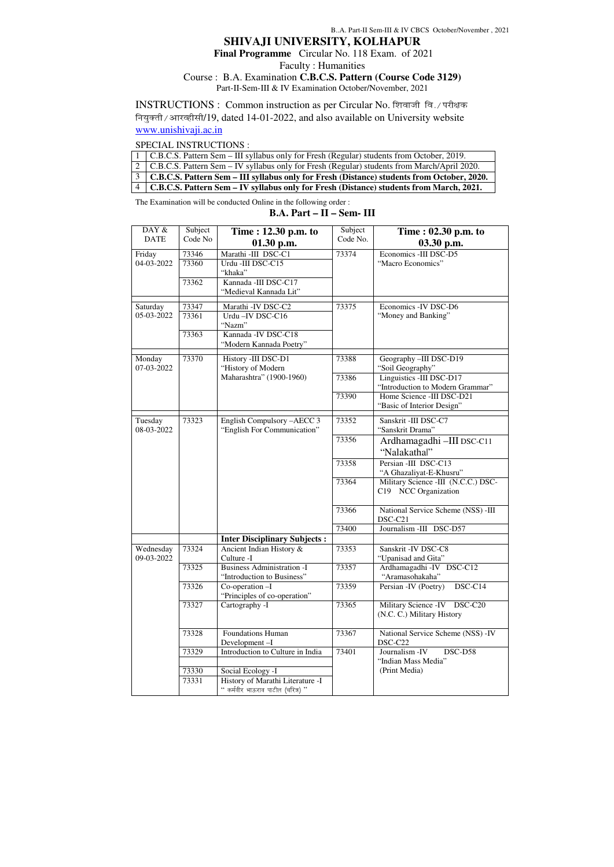# **SHIVAJI UNIVERSITY, KOLHAPUR**

 **Final Programme** Circular No. 118 Exam. of 2021

Faculty : Humanities

### Course : B.A. Examination **C.B.C.S. Pattern (Course Code 3129)** Part-II-Sem-III & IV Examination October/November, 2021

INSTRUCTIONS : Common instruction as per Circular No. शिवाजी वि./परीक्षक नियुक्ती / आरव्हीसी/19, dated 14-01-2022, and also available on University website www.unishivaji.ac.in

### SPECIAL INSTRUCTIONS :

| 1   C.B.C.S. Pattern Sem – III syllabus only for Fresh (Regular) students from October, 2019.   |
|-------------------------------------------------------------------------------------------------|
| 2   C.B.C.S. Pattern Sem – IV syllabus only for Fresh (Regular) students from March/April 2020. |
| 3   C.B.C.S. Pattern Sem – III syllabus only for Fresh (Distance) students from October, 2020.  |
| 4   C.B.C.S. Pattern Sem – IV syllabus only for Fresh (Distance) students from March, 2021.     |

The Examination will be conducted Online in the following order :

## **B.A. Part – II – Sem- III**

| DAY $\&$<br><b>DATE</b> | Subject<br>Code No | Time: 12.30 p.m. to<br>$01.30$ p.m.                             | Subject<br>Code No. | Time: $02.30$ p.m. to<br>03.30 p.m.                          |  |
|-------------------------|--------------------|-----------------------------------------------------------------|---------------------|--------------------------------------------------------------|--|
| Friday                  | 73346              | Marathi -III DSC-C1                                             | 73374               | Economics -III DSC-D5                                        |  |
| 04-03-2022              | 73360              | Urdu -III DSC-C15<br>"khaka"                                    |                     | "Macro Economics"                                            |  |
|                         | 73362              | Kannada - III DSC-C17<br>"Medieval Kannada Lit"                 |                     |                                                              |  |
| Saturday                | 73347              | Marathi - IV DSC-C2                                             | 73375               | Economics - IV DSC-D6                                        |  |
| 05-03-2022              | 73361              | Urdu-IV DSC-C16<br>"Nazm"                                       |                     | "Money and Banking"                                          |  |
|                         | 73363              | Kannada - IV DSC-C18<br>"Modern Kannada Poetry"                 |                     |                                                              |  |
| Monday<br>07-03-2022    | 73370              | History -III DSC-D1<br>"History of Modern                       | 73388               | Geography -III DSC-D19<br>"Soil Geography"                   |  |
|                         |                    | Maharashtra" (1900-1960)                                        | 73386               | Linguistics -III DSC-D17<br>"Introduction to Modern Grammar" |  |
|                         |                    |                                                                 | 73390               | Home Science -III DSC-D21<br>"Basic of Interior Design"      |  |
| Tuesday                 | 73323              | English Compulsory -AECC 3                                      | 73352               | Sanskrit -III DSC-C7                                         |  |
| 08-03-2022              |                    | "English For Communication"                                     |                     | "Sanskrit Drama"                                             |  |
|                         |                    |                                                                 | 73356               | Ardhamagadhi - III DSC-C11<br>"Nalakathal"                   |  |
|                         |                    |                                                                 | 73358               | Persian -III DSC-C13<br>"A Ghazaliyat-E-Khusru"              |  |
|                         |                    |                                                                 | 73364               | Military Science -III (N.C.C.) DSC-<br>C19 NCC Organization  |  |
|                         |                    |                                                                 | 73366               | National Service Scheme (NSS) -III<br>DSC-C21                |  |
|                         |                    |                                                                 | 73400               | Journalism -III DSC-D57                                      |  |
|                         |                    | <b>Inter Disciplinary Subjects:</b>                             |                     |                                                              |  |
| Wednesday<br>09-03-2022 | 73324              | Ancient Indian History &<br>Culture -I                          | 73353               | Sanskrit - IV DSC-C8<br>"Upanisad and Gita"                  |  |
|                         | 73325              | <b>Business Administration -I</b><br>"Introduction to Business" | 73357               | Ardhamagadhi -IV<br>DSC-C12<br>"Aramasohakaha"               |  |
|                         | 73326              | Co-operation-I<br>"Principles of co-operation"                  | 73359               | DSC-C14<br>Persian -IV (Poetry)                              |  |
|                         | 73327              | Cartography -I                                                  | 73365               | Military Science - IV DSC-C20<br>(N.C. C.) Military History  |  |
|                         | 73328              | <b>Foundations Human</b><br>Development-I                       | 73367               | National Service Scheme (NSS) - IV<br>DSC-C22                |  |
|                         | 73329              | Introduction to Culture in India                                | 73401               | DSC-D58<br>Journalism - IV                                   |  |

|       |                                   | "Indian Mass Media" |
|-------|-----------------------------------|---------------------|
| 73330 | Social Ecology -I                 | (Print Media)       |
| 73331 | History of Marathi Literature -I  |                     |
|       | " कर्मवीर भाऊराव पाटील (चरित्र) " |                     |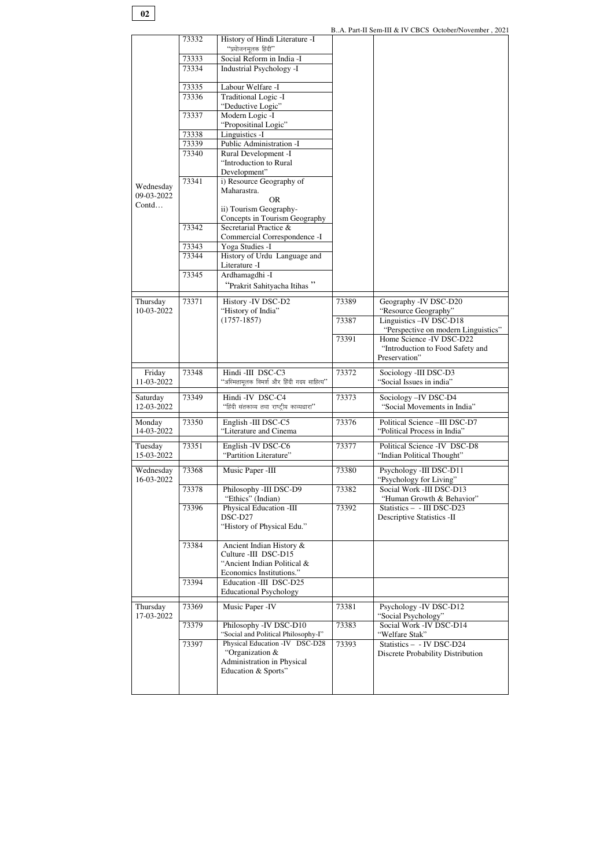B..A. Part-II Sem-III & IV CBCS October/November , 2021

|                         | 73332          | History of Hindi Literature -I                          |       |                                                    |
|-------------------------|----------------|---------------------------------------------------------|-------|----------------------------------------------------|
|                         |                | "प्रयोजनमूलक हिंदी"                                     |       |                                                    |
|                         | 73333<br>73334 | Social Reform in India -I<br>Industrial Psychology -I   |       |                                                    |
|                         |                |                                                         |       |                                                    |
|                         | 73335          | Labour Welfare -I                                       |       |                                                    |
|                         | 73336          | Traditional Logic -I<br>"Deductive Logic"               |       |                                                    |
|                         | 73337          | Modern Logic -I                                         |       |                                                    |
|                         |                | "Propositinal Logic"                                    |       |                                                    |
|                         | 73338          | Linguistics -I                                          |       |                                                    |
|                         | 73339          | Public Administration -I                                |       |                                                    |
|                         | 73340          | Rural Development -I<br>"Introduction to Rural          |       |                                                    |
|                         |                | Development"                                            |       |                                                    |
|                         | 73341          | i) Resource Geography of                                |       |                                                    |
| Wednesday<br>09-03-2022 |                | Maharastra.                                             |       |                                                    |
| Contd                   |                | <b>OR</b>                                               |       |                                                    |
|                         |                | ii) Tourism Geography-<br>Concepts in Tourism Geography |       |                                                    |
|                         | 73342          | Secretarial Practice &                                  |       |                                                    |
|                         |                | Commercial Correspondence -I                            |       |                                                    |
|                         | 73343          | Yoga Studies -I                                         |       |                                                    |
|                         | 73344          | History of Urdu Language and<br>Literature -I           |       |                                                    |
|                         | 73345          | Ardhamagdhi -I                                          |       |                                                    |
|                         |                | "Prakrit Sahityacha Itihas"                             |       |                                                    |
|                         |                |                                                         |       |                                                    |
| Thursday                | 73371          | History - IV DSC-D2                                     | 73389 | Geography -IV DSC-D20                              |
| 10-03-2022              |                | "History of India"<br>$(1757-1857)$                     | 73387 | "Resource Geography"<br>Linguistics - IV DSC-D18   |
|                         |                |                                                         |       | "Perspective on modern Linguistics"                |
|                         |                |                                                         | 73391 | Home Science - IV DSC-D22                          |
|                         |                |                                                         |       | "Introduction to Food Safety and                   |
|                         |                |                                                         |       | Preservation"                                      |
|                         |                |                                                         |       |                                                    |
| Friday                  | 73348          | Hindi-III DSC-C3                                        | 73372 | Sociology -III DSC-D3                              |
| 11-03-2022              |                | "अस्मितामूलक विमर्श और हिंदी गदय साहित्य"               |       | "Social Issues in india"                           |
| Saturday                | 73349          | Hindi-IV DSC-C4                                         | 73373 | Sociology-IV DSC-D4                                |
| 12-03-2022              |                | "हिंदी संतकाव्य तथा राष्ट्रीय काव्यधारा"                |       | "Social Movements in India"                        |
| Monday                  | 73350          | English -III DSC-C5                                     | 73376 | Political Science -III DSC-D7                      |
| 14-03-2022              |                | "Literature and Cinema                                  |       | "Political Process in India"                       |
|                         |                |                                                         | 73377 | Political Science -IV DSC-D8                       |
| Tuesday<br>15-03-2022   | 73351          | English - IV DSC-C6<br>"Partition Literature"           |       | "Indian Political Thought"                         |
|                         |                |                                                         |       |                                                    |
| Wednesday<br>16-03-2022 | 73368          | Music Paper -III                                        | 73380 | Psychology -III DSC-D11<br>"Psychology for Living" |
|                         | 73378          | Philosophy -III DSC-D9                                  | 73382 | Social Work -III DSC-D13                           |
|                         |                | "Ethics" (Indian)                                       |       | "Human Growth & Behavior"                          |
|                         | 73396          | Physical Education -III                                 | 73392 | Statistics - - III DSC-D23                         |
|                         |                | DSC-D27                                                 |       | <b>Descriptive Statistics -II</b>                  |
|                         |                | "History of Physical Edu."                              |       |                                                    |
|                         | 73384          | Ancient Indian History &                                |       |                                                    |
|                         |                | Culture -III DSC-D15                                    |       |                                                    |
|                         |                | "Ancient Indian Political &                             |       |                                                    |
|                         | 73394          | Economics Institutions."<br>Education -III DSC-D25      |       |                                                    |
|                         |                | <b>Educational Psychology</b>                           |       |                                                    |
| Thursday                | 73369          | Music Paper - IV                                        | 73381 | Psychology - IV DSC-D12                            |
| 17-03-2022              |                |                                                         |       | "Social Psychology"                                |
|                         | 73379          | Philosophy -IV DSC-D10                                  | 73383 | Social Work -IV DSC-D14                            |
|                         |                | "Social and Political Philosophy-I"                     |       | "Welfare Stak"                                     |
|                         | 73397          | Physical Education -IV DSC-D28<br>"Organization &       | 73393 | Statistics - - IV DSC-D24                          |
|                         |                | Administration in Physical                              |       | Discrete Probability Distribution                  |
|                         |                | Education & Sports"                                     |       |                                                    |

**02**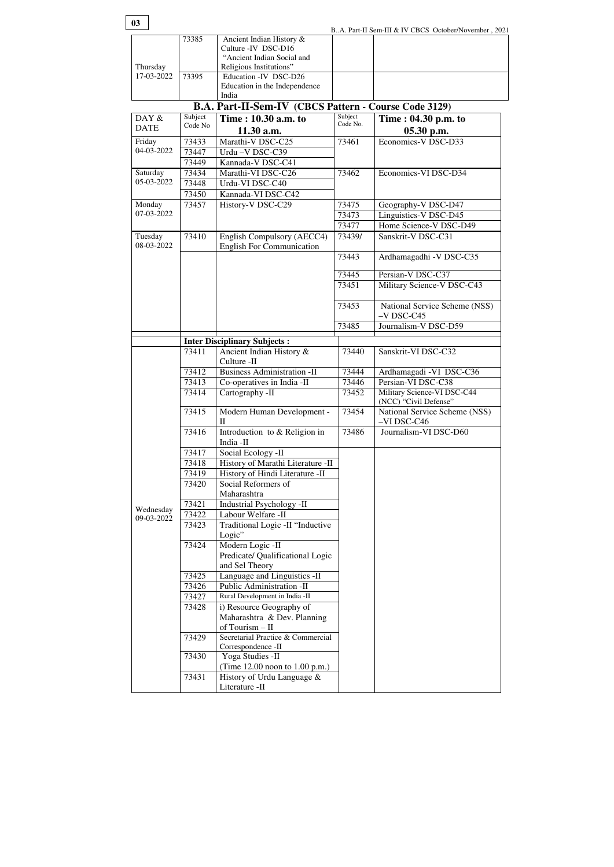| 73430 | Yoga Studies -II               |  |
|-------|--------------------------------|--|
|       | (Time 12.00 noon to 1.00 p.m.) |  |
| 73431 | History of Urdu Language $\&$  |  |
|       | Literature -II                 |  |

| 03                      |         |                                                                 |                     | BA. Part-II Sem-III & IV CBCS October/November, 2021 |
|-------------------------|---------|-----------------------------------------------------------------|---------------------|------------------------------------------------------|
|                         | 73385   | Ancient Indian History &                                        |                     |                                                      |
|                         |         | Culture -IV DSC-D16<br>"Ancient Indian Social and               |                     |                                                      |
| Thursday                |         | Religious Institutions"                                         |                     |                                                      |
| 17-03-2022              | 73395   | Education -IV DSC-D26                                           |                     |                                                      |
|                         |         | Education in the Independence                                   |                     |                                                      |
|                         |         | India                                                           |                     |                                                      |
|                         |         | <b>B.A. Part-II-Sem-IV (CBCS Pattern - Course Code 3129)</b>    |                     |                                                      |
| DAY &                   | Subject | Time: 10.30 a.m. to                                             | Subject<br>Code No. | Time : 04.30 p.m. to                                 |
| <b>DATE</b>             | Code No | $11.30$ a.m.                                                    |                     | $05.30$ p.m.                                         |
| Friday                  | 73433   | Marathi-V DSC-C25                                               | 73461               | Economics-V DSC-D33                                  |
| 04-03-2022              | 73447   | Urdu-V DSC-C39                                                  |                     |                                                      |
|                         | 73449   | Kannada-V DSC-C41                                               |                     |                                                      |
| Saturday                | 73434   | Marathi-VI DSC-C26                                              | 73462               | Economics-VI DSC-D34                                 |
| 05-03-2022              | 73448   | Urdu-VI DSC-C40                                                 |                     |                                                      |
|                         | 73450   | Kannada-VI DSC-C42                                              |                     |                                                      |
| Monday                  | 73457   | History-V DSC-C29                                               | 73475               | Geography-V DSC-D47                                  |
| 07-03-2022              |         |                                                                 | 73473               | Linguistics-V DSC-D45                                |
|                         |         |                                                                 | 73477               | Home Science-V DSC-D49                               |
| Tuesday<br>08-03-2022   | 73410   | English Compulsory (AECC4)<br><b>English For Communication</b>  | 73439/              | Sanskrit-V DSC-C31                                   |
|                         |         |                                                                 | 73443               | Ardhamagadhi - V DSC-C35                             |
|                         |         |                                                                 | 73445               | Persian-V DSC-C37                                    |
|                         |         |                                                                 | 73451               | Military Science-V DSC-C43                           |
|                         |         |                                                                 | 73453               | National Service Scheme (NSS)<br>$-V$ DSC-C45        |
|                         |         |                                                                 | 73485               | Journalism-V DSC-D59                                 |
|                         |         |                                                                 |                     |                                                      |
|                         | 73411   | <b>Inter Disciplinary Subjects:</b><br>Ancient Indian History & | 73440               | Sanskrit-VI DSC-C32                                  |
|                         |         | Culture -II                                                     |                     |                                                      |
|                         | 73412   | <b>Business Administration -II</b>                              | 73444               | Ardhamagadi - VI DSC-C36                             |
|                         | 73413   | Co-operatives in India -II                                      | 73446               | Persian-VI DSC-C38                                   |
|                         | 73414   | Cartography -II                                                 | 73452               | Military Science-VI DSC-C44                          |
|                         |         |                                                                 |                     | (NCC) "Civil Defense"                                |
|                         | 73415   | Modern Human Development -<br>$\rm II$                          | 73454               | National Service Scheme (NSS)<br>-VI DSC-C46         |
|                         | 73416   | Introduction to & Religion in<br>India -II                      | 73486               | Journalism-VI DSC-D60                                |
|                         | 73417   | Social Ecology -II                                              |                     |                                                      |
|                         | 73418   | History of Marathi Literature -II                               |                     |                                                      |
|                         | 73419   | History of Hindi Literature -II                                 |                     |                                                      |
|                         | 73420   | Social Reformers of                                             |                     |                                                      |
|                         |         | Maharashtra                                                     |                     |                                                      |
|                         | 73421   | Industrial Psychology -II                                       |                     |                                                      |
| Wednesday<br>09-03-2022 | 73422   | Labour Welfare -II                                              |                     |                                                      |
|                         | 73423   | Traditional Logic -II "Inductive<br>Logic"                      |                     |                                                      |
|                         | 73424   | Modern Logic -II                                                |                     |                                                      |
|                         |         | Predicate/ Qualificational Logic<br>and Sel Theory              |                     |                                                      |
|                         | 73425   | Language and Linguistics -II                                    |                     |                                                      |
|                         | 73426   | Public Administration -II                                       |                     |                                                      |
|                         | 73427   | Rural Development in India -II                                  |                     |                                                      |
|                         |         |                                                                 |                     |                                                      |
|                         |         |                                                                 |                     |                                                      |
|                         | 73428   | i) Resource Geography of                                        |                     |                                                      |
|                         |         | Maharashtra & Dev. Planning<br>of Tourism - II                  |                     |                                                      |
|                         | 73429   | Secretarial Practice & Commercial                               |                     |                                                      |
|                         | 72120   | Correspondence -II                                              |                     |                                                      |